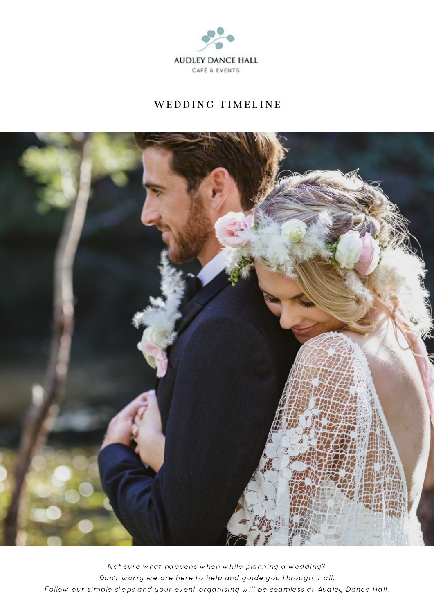

# WEDDING TIMELINE



Not sure what happens when while planning a wedding? Don't worry we are here to help and guide you through it all. Follow our simple steps and your event organising will be seamless at Audley Dance Hall.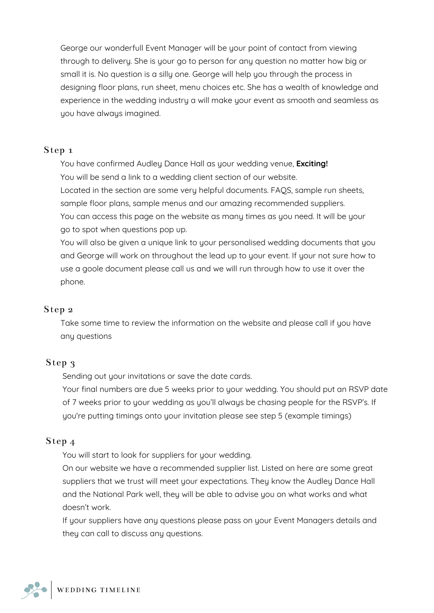George our wonderfull Event Manager will be your point of contact from viewing through to delivery. She is your go to person for any question no matter how big or small it is. No question is a silly one. George will help you through the process in designing floor plans, run sheet, menu choices etc. She has a wealth of knowledge and experience in the wedding industry a will make your event as smooth and seamless as you have always imagined.

#### Step 1

You have confirmed Audley Dance Hall as your wedding venue, **Exciting!** You will be send a link to a wedding client section of our website. Located in the section are some very helpful documents. FAQS, sample run sheets, sample floor plans, sample menus and our amazing recommended suppliers. You can access this page on the website as many times as you need. It will be your go to spot when questions pop up.

You will also be given a unique link to your personalised wedding documents that you and George will work on throughout the lead up to your event. If your not sure how to use a goole document please call us and we will run through how to use it over the phone.

### Step 2

Take some time to review the information on the website and please call if you have any questions

### Step 3

Sending out your invitations or save the date cards.

Your final numbers are due 5 weeks prior to your wedding. You should put an RSVP date of 7 weeks prior to your wedding as you'll always be chasing people for the RSVP's. If you're putting timings onto your invitation please see step 5 (example timings)

### Step 4

You will start to look for suppliers for your wedding.

On our website we have a recommended supplier list. Listed on here are some great suppliers that we trust will meet your expectations. They know the Audley Dance Hall and the National Park well, they will be able to advise you on what works and what doesn't work.

If your suppliers have any questions please pass on your Event Managers details and they can call to discuss any questions.

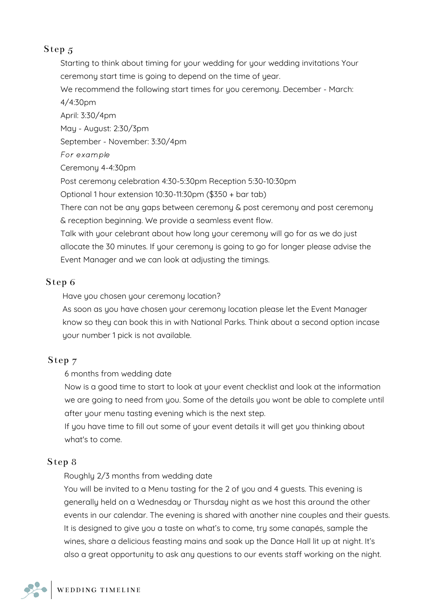# Step 5

Starting to think about timing for your wedding for your wedding invitations Your ceremony start time is going to depend on the time of year.

We recommend the following start times for you ceremony. December - March: 4/4:30pm

April: 3:30/4pm May - August: 2:30/3pm September - November: 3:30/4pm For example Ceremony 4-4:30pm Post ceremony celebration 4:30-5:30pm Reception 5:30-10:30pm Optional 1 hour extension 10:30-11:30pm (\$350 + bar tab) There can not be any gaps between ceremony & post ceremony and post ceremony & reception beginning. We provide a seamless event flow. Talk with your celebrant about how long your ceremony will go for as we do just allocate the 30 minutes. If your ceremony is going to go for longer please advise the Event Manager and we can look at adjusting the timings.

### Step 6

Have you chosen your ceremony location?

As soon as you have chosen your ceremony location please let the Event Manager know so they can book this in with National Parks. Think about a second option incase your number 1 pick is not available.

## Step 7

6 months from wedding date

Now is a good time to start to look at your event checklist and look at the information we are going to need from you. Some of the details you wont be able to complete until after your menu tasting evening which is the next step.

If you have time to fill out some of your event details it will get you thinking about what's to come.

## Step 8

Roughly 2/3 months from wedding date

You will be invited to a Menu tasting for the 2 of you and 4 guests. This evening is generally held on a Wednesday or Thursday night as we host this around the other events in our calendar. The evening is shared with another nine couples and their guests. It is designed to give you a taste on what's to come, try some canapés, sample the wines, share a delicious feasting mains and soak up the Dance Hall lit up at night. It's also a great opportunity to ask any questions to our events staff working on the night.

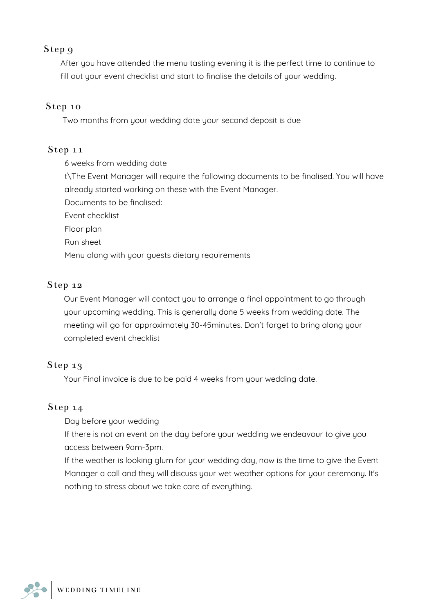## Step 9

After you have attended the menu tasting evening it is the perfect time to continue to fill out your event checklist and start to finalise the details of your wedding.

#### Step 10

Two months from your wedding date your second deposit is due

#### Step 11

6 weeks from wedding date

t\The Event Manager will require the following documents to be finalised. You will have already started working on these with the Event Manager.

Documents to be finalised:

Event checklist

Floor plan

Run sheet

Menu along with your guests dietary requirements

#### Step 12

Our Event Manager will contact you to arrange a final appointment to go through your upcoming wedding. This is generally done 5 weeks from wedding date. The meeting will go for approximately 30-45minutes. Don't forget to bring along your completed event checklist

### Step 13

Your Final invoice is due to be paid 4 weeks from your wedding date.

#### Step 14

Day before your wedding

If there is not an event on the day before your wedding we endeavour to give you access between 9am-3pm.

If the weather is looking glum for your wedding day, now is the time to give the Event Manager a call and they will discuss your wet weather options for your ceremony. It's nothing to stress about we take care of everything.